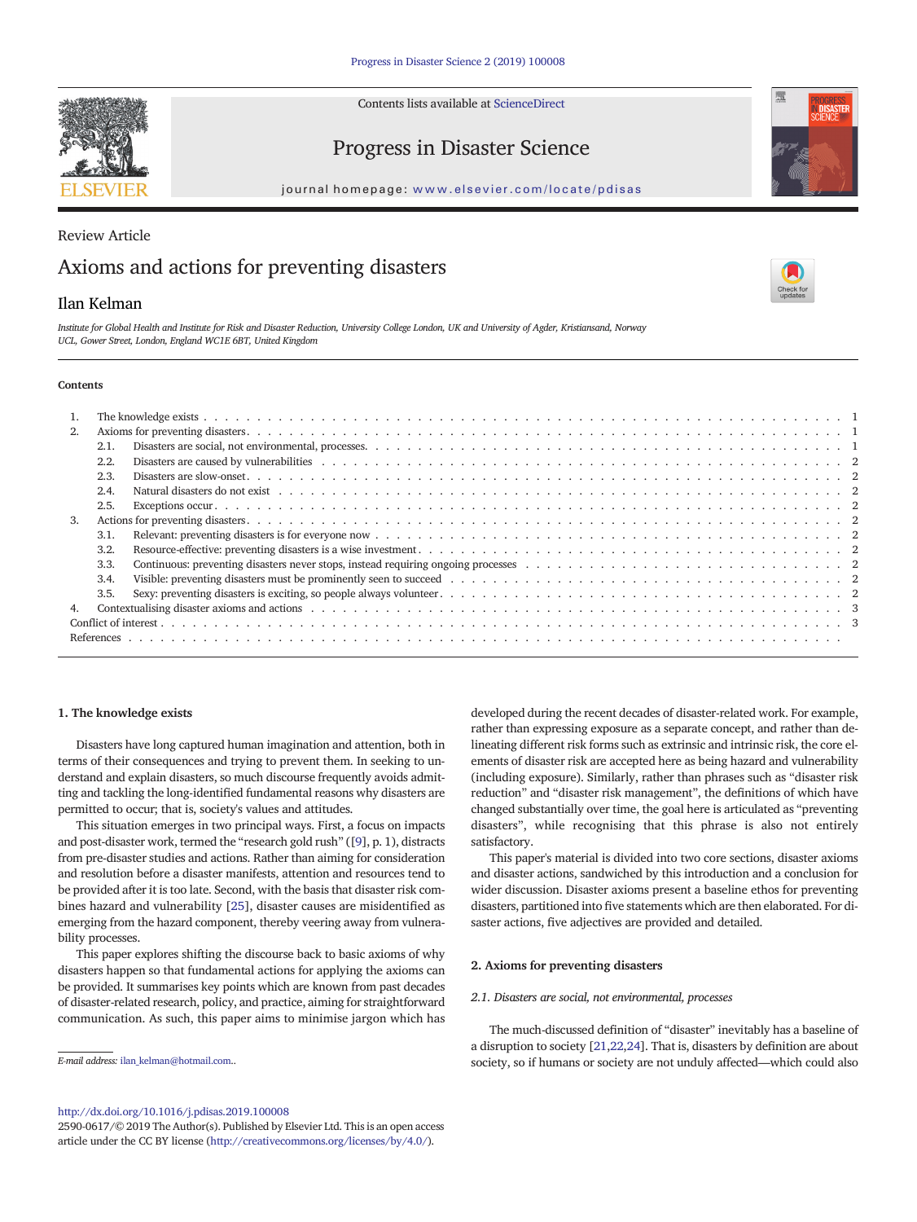Contents lists available at [ScienceDirect](http://www.sciencedirect.com/science/journal/)



Progress in Disaster Science



# Review Article Axioms and actions for preventing disasters

# Ilan Kelman

Institute for Global Health and Institute for Risk and Disaster Reduction, University College London, UK and University of Agder, Kristiansand, Norway UCL, Gower Street, London, England WC1E 6BT, United Kingdom

#### **Contents**

| 2. |      |  |  |
|----|------|--|--|
|    | 2.1. |  |  |
|    | 2.2. |  |  |
|    | 2.3. |  |  |
|    | 2.4. |  |  |
|    | 2.5. |  |  |
| 3. |      |  |  |
|    | 3.1  |  |  |
|    | 3.2. |  |  |
|    | 3.3. |  |  |
|    | 3.4. |  |  |
|    | 3.5. |  |  |
| 4. |      |  |  |
|    |      |  |  |
|    |      |  |  |
|    |      |  |  |

#### 1. The knowledge exists

Disasters have long captured human imagination and attention, both in terms of their consequences and trying to prevent them. In seeking to understand and explain disasters, so much discourse frequently avoids admitting and tackling the long-identified fundamental reasons why disasters are permitted to occur; that is, society's values and attitudes.

This situation emerges in two principal ways. First, a focus on impacts and post-disaster work, termed the "research gold rush" ([[9](#page-2-0)], p. 1), distracts from pre-disaster studies and actions. Rather than aiming for consideration and resolution before a disaster manifests, attention and resources tend to be provided after it is too late. Second, with the basis that disaster risk combines hazard and vulnerability [[25\]](#page-2-0), disaster causes are misidentified as emerging from the hazard component, thereby veering away from vulnerability processes.

This paper explores shifting the discourse back to basic axioms of why disasters happen so that fundamental actions for applying the axioms can be provided. It summarises key points which are known from past decades of disaster-related research, policy, and practice, aiming for straightforward communication. As such, this paper aims to minimise jargon which has

<http://dx.doi.org/10.1016/j.pdisas.2019.100008>

2590-0617/© 2019 The Author(s). Published by Elsevier Ltd. This is an open access article under the CC BY license ([http://creativecommons.org/licenses/by/4.0/\)](http://creativecommons.org/licenses/by/4.0/).

developed during the recent decades of disaster-related work. For example, rather than expressing exposure as a separate concept, and rather than delineating different risk forms such as extrinsic and intrinsic risk, the core elements of disaster risk are accepted here as being hazard and vulnerability (including exposure). Similarly, rather than phrases such as "disaster risk reduction" and "disaster risk management", the definitions of which have changed substantially over time, the goal here is articulated as "preventing disasters", while recognising that this phrase is also not entirely satisfactory.

This paper's material is divided into two core sections, disaster axioms and disaster actions, sandwiched by this introduction and a conclusion for wider discussion. Disaster axioms present a baseline ethos for preventing disasters, partitioned into five statements which are then elaborated. For disaster actions, five adjectives are provided and detailed.

#### 2. Axioms for preventing disasters

#### 2.1. Disasters are social, not environmental, processes

The much-discussed definition of "disaster" inevitably has a baseline of a disruption to society [[21,22,24](#page-2-0)]. That is, disasters by definition are about society, so if humans or society are not unduly affected—which could also



E-mail address: [ilan\\_kelman@hotmail.com](ilan_kelman@hotmail.com)..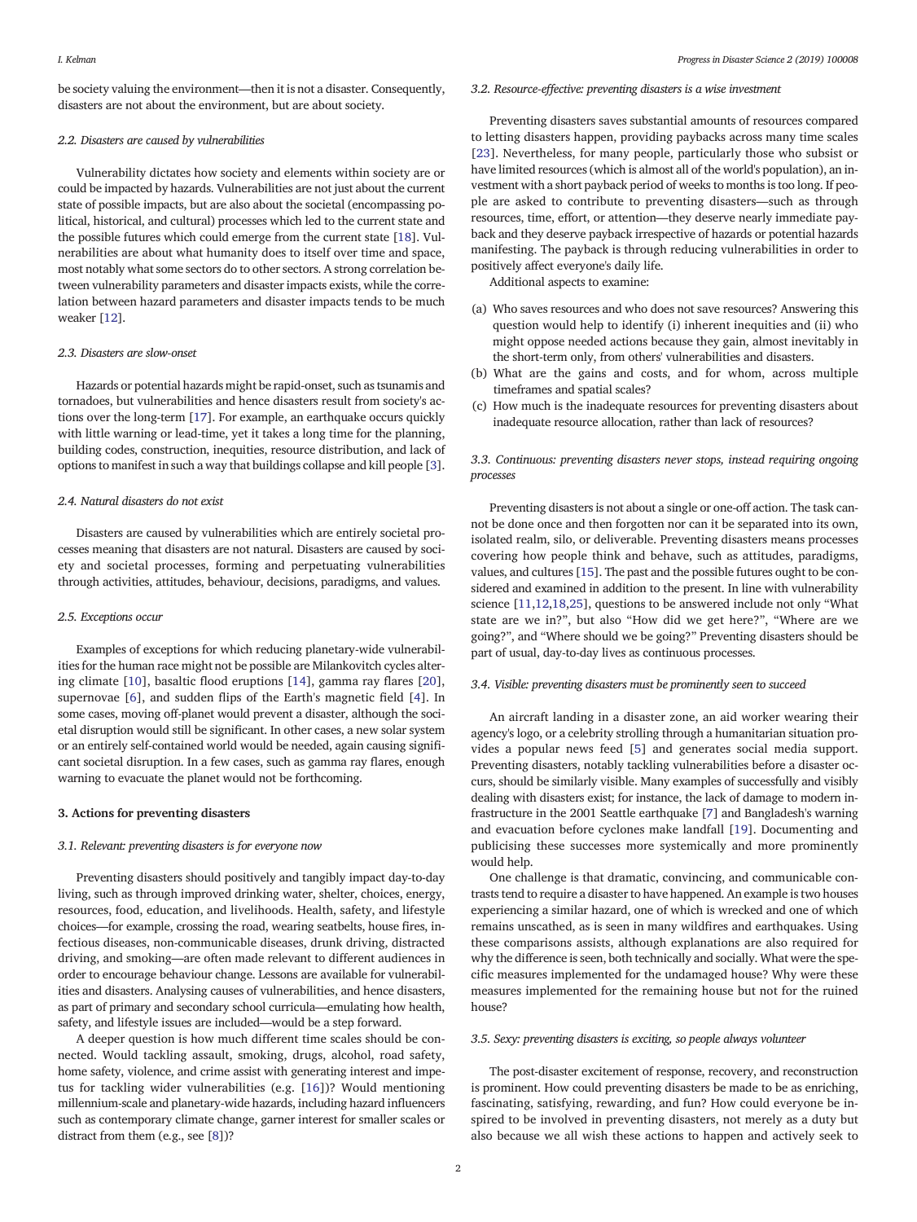<span id="page-1-0"></span>be society valuing the environment—then it is not a disaster. Consequently, disasters are not about the environment, but are about society.

#### 2.2. Disasters are caused by vulnerabilities

Vulnerability dictates how society and elements within society are or could be impacted by hazards. Vulnerabilities are not just about the current state of possible impacts, but are also about the societal (encompassing political, historical, and cultural) processes which led to the current state and the possible futures which could emerge from the current state [\[18](#page-2-0)]. Vulnerabilities are about what humanity does to itself over time and space, most notably what some sectors do to other sectors. A strong correlation between vulnerability parameters and disaster impacts exists, while the correlation between hazard parameters and disaster impacts tends to be much weaker [[12](#page-2-0)].

#### 2.3. Disasters are slow-onset

Hazards or potential hazards might be rapid-onset, such as tsunamis and tornadoes, but vulnerabilities and hence disasters result from society's actions over the long-term [[17\]](#page-2-0). For example, an earthquake occurs quickly with little warning or lead-time, yet it takes a long time for the planning, building codes, construction, inequities, resource distribution, and lack of options to manifest in such a way that buildings collapse and kill people [\[3\]](#page-2-0).

#### 2.4. Natural disasters do not exist

Disasters are caused by vulnerabilities which are entirely societal processes meaning that disasters are not natural. Disasters are caused by society and societal processes, forming and perpetuating vulnerabilities through activities, attitudes, behaviour, decisions, paradigms, and values.

#### 2.5. Exceptions occur

Examples of exceptions for which reducing planetary-wide vulnerabilities for the human race might not be possible are Milankovitch cycles altering climate [\[10](#page-2-0)], basaltic flood eruptions [[14\]](#page-2-0), gamma ray flares [[20\]](#page-2-0), supernovae [\[6\]](#page-2-0), and sudden flips of the Earth's magnetic field [[4](#page-2-0)]. In some cases, moving off-planet would prevent a disaster, although the societal disruption would still be significant. In other cases, a new solar system or an entirely self-contained world would be needed, again causing significant societal disruption. In a few cases, such as gamma ray flares, enough warning to evacuate the planet would not be forthcoming.

#### 3. Actions for preventing disasters

#### 3.1. Relevant: preventing disasters is for everyone now

Preventing disasters should positively and tangibly impact day-to-day living, such as through improved drinking water, shelter, choices, energy, resources, food, education, and livelihoods. Health, safety, and lifestyle choices—for example, crossing the road, wearing seatbelts, house fires, infectious diseases, non-communicable diseases, drunk driving, distracted driving, and smoking—are often made relevant to different audiences in order to encourage behaviour change. Lessons are available for vulnerabilities and disasters. Analysing causes of vulnerabilities, and hence disasters, as part of primary and secondary school curricula—emulating how health, safety, and lifestyle issues are included—would be a step forward.

A deeper question is how much different time scales should be connected. Would tackling assault, smoking, drugs, alcohol, road safety, home safety, violence, and crime assist with generating interest and impetus for tackling wider vulnerabilities (e.g. [[16\]](#page-2-0))? Would mentioning millennium-scale and planetary-wide hazards, including hazard influencers such as contemporary climate change, garner interest for smaller scales or distract from them (e.g., see [\[8](#page-2-0)])?

#### 3.2. Resource-effective: preventing disasters is a wise investment

Preventing disasters saves substantial amounts of resources compared to letting disasters happen, providing paybacks across many time scales [\[23\]](#page-2-0). Nevertheless, for many people, particularly those who subsist or have limited resources (which is almost all of the world's population), an investment with a short payback period of weeks to months is too long. If people are asked to contribute to preventing disasters—such as through resources, time, effort, or attention—they deserve nearly immediate payback and they deserve payback irrespective of hazards or potential hazards manifesting. The payback is through reducing vulnerabilities in order to positively affect everyone's daily life.

Additional aspects to examine:

- (a) Who saves resources and who does not save resources? Answering this question would help to identify (i) inherent inequities and (ii) who might oppose needed actions because they gain, almost inevitably in the short-term only, from others' vulnerabilities and disasters.
- (b) What are the gains and costs, and for whom, across multiple timeframes and spatial scales?
- (c) How much is the inadequate resources for preventing disasters about inadequate resource allocation, rather than lack of resources?

### 3.3. Continuous: preventing disasters never stops, instead requiring ongoing processes

Preventing disasters is not about a single or one-off action. The task cannot be done once and then forgotten nor can it be separated into its own, isolated realm, silo, or deliverable. Preventing disasters means processes covering how people think and behave, such as attitudes, paradigms, values, and cultures [\[15\]](#page-2-0). The past and the possible futures ought to be considered and examined in addition to the present. In line with vulnerability science [[11,12,18,25\]](#page-2-0), questions to be answered include not only "What state are we in?", but also "How did we get here?", "Where are we going?", and "Where should we be going?" Preventing disasters should be part of usual, day-to-day lives as continuous processes.

#### 3.4. Visible: preventing disasters must be prominently seen to succeed

An aircraft landing in a disaster zone, an aid worker wearing their agency's logo, or a celebrity strolling through a humanitarian situation provides a popular news feed [\[5\]](#page-2-0) and generates social media support. Preventing disasters, notably tackling vulnerabilities before a disaster occurs, should be similarly visible. Many examples of successfully and visibly dealing with disasters exist; for instance, the lack of damage to modern infrastructure in the 2001 Seattle earthquake [\[7](#page-2-0)] and Bangladesh's warning and evacuation before cyclones make landfall [[19\]](#page-2-0). Documenting and publicising these successes more systemically and more prominently would help.

One challenge is that dramatic, convincing, and communicable contrasts tend to require a disaster to have happened. An example is two houses experiencing a similar hazard, one of which is wrecked and one of which remains unscathed, as is seen in many wildfires and earthquakes. Using these comparisons assists, although explanations are also required for why the difference is seen, both technically and socially. What were the specific measures implemented for the undamaged house? Why were these measures implemented for the remaining house but not for the ruined house?

#### 3.5. Sexy: preventing disasters is exciting, so people always volunteer

The post-disaster excitement of response, recovery, and reconstruction is prominent. How could preventing disasters be made to be as enriching, fascinating, satisfying, rewarding, and fun? How could everyone be inspired to be involved in preventing disasters, not merely as a duty but also because we all wish these actions to happen and actively seek to